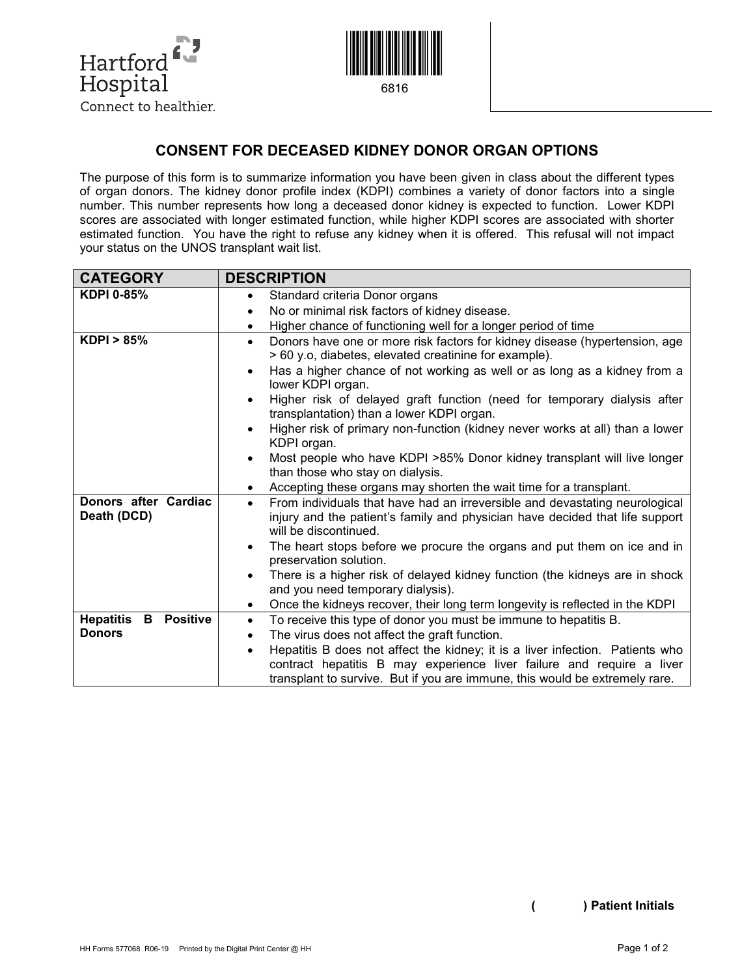



## **CONSENT FOR DECEASED KIDNEY DONOR ORGAN OPTIONS**

The purpose of this form is to summarize information you have been given in class about the different types of organ donors. The kidney donor profile index (KDPI) combines a variety of donor factors into a single number. This number represents how long a deceased donor kidney is expected to function. Lower KDPI scores are associated with longer estimated function, while higher KDPI scores are associated with shorter estimated function. You have the right to refuse any kidney when it is offered. This refusal will not impact your status on the UNOS transplant wait list.

| <b>DESCRIPTION</b>                                                                                                                                   |  |
|------------------------------------------------------------------------------------------------------------------------------------------------------|--|
| Standard criteria Donor organs<br>$\bullet$                                                                                                          |  |
| No or minimal risk factors of kidney disease.<br>$\bullet$                                                                                           |  |
| Higher chance of functioning well for a longer period of time<br>$\bullet$                                                                           |  |
| Donors have one or more risk factors for kidney disease (hypertension, age<br>$\bullet$<br>> 60 y.o, diabetes, elevated creatinine for example).     |  |
| Has a higher chance of not working as well or as long as a kidney from a<br>$\bullet$<br>lower KDPI organ.                                           |  |
| Higher risk of delayed graft function (need for temporary dialysis after<br>$\bullet$<br>transplantation) than a lower KDPI organ.                   |  |
| Higher risk of primary non-function (kidney never works at all) than a lower<br>$\bullet$<br>KDPI organ.                                             |  |
| Most people who have KDPI >85% Donor kidney transplant will live longer<br>$\bullet$                                                                 |  |
| than those who stay on dialysis.                                                                                                                     |  |
| Accepting these organs may shorten the wait time for a transplant.<br>$\bullet$                                                                      |  |
| From individuals that have had an irreversible and devastating neurological<br>$\bullet$                                                             |  |
| injury and the patient's family and physician have decided that life support<br>will be discontinued.                                                |  |
| The heart stops before we procure the organs and put them on ice and in<br>$\bullet$                                                                 |  |
| preservation solution.                                                                                                                               |  |
| There is a higher risk of delayed kidney function (the kidneys are in shock<br>$\bullet$<br>and you need temporary dialysis).                        |  |
| Once the kidneys recover, their long term longevity is reflected in the KDPI<br>$\bullet$                                                            |  |
| To receive this type of donor you must be immune to hepatitis B.<br>$\bullet$                                                                        |  |
| The virus does not affect the graft function.<br>$\bullet$                                                                                           |  |
| Hepatitis B does not affect the kidney; it is a liver infection. Patients who<br>$\bullet$                                                           |  |
| contract hepatitis B may experience liver failure and require a liver<br>transplant to survive. But if you are immune, this would be extremely rare. |  |
|                                                                                                                                                      |  |

**( ) Patient Initials**